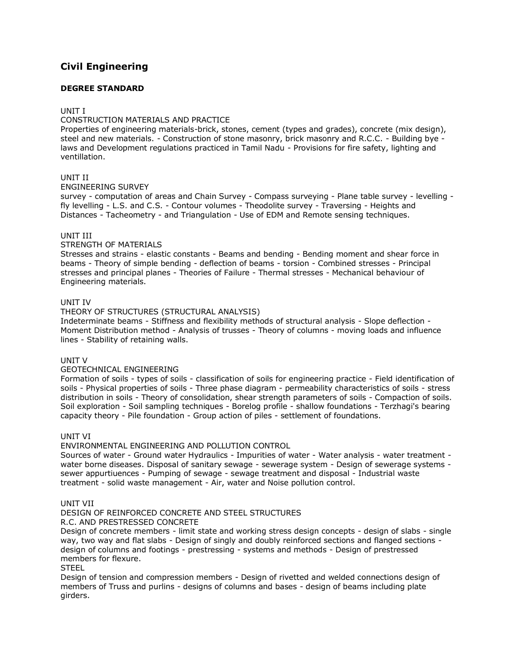# **[Civil Engineering](http://www.tnpsc.gov.in/Syllabus/CIVILENGGde.html)**

# **DEGREE STANDARD**

# UNIT I

# CONSTRUCTION MATERIALS AND PRACTICE

Properties of engineering materials-brick, stones, cement (types and grades), concrete (mix design), steel and new materials. - Construction of stone masonry, brick masonry and R.C.C. - Building bye laws and Development regulations practiced in Tamil Nadu - Provisions for fire safety, lighting and ventillation.

# UNIT II

# ENGINEERING SURVEY

survey - computation of areas and Chain Survey - Compass surveying - Plane table survey - levelling fly levelling - L.S. and C.S. - Contour volumes - Theodolite survey - Traversing - Heights and Distances - Tacheometry - and Triangulation - Use of EDM and Remote sensing techniques.

# UNIT III

# STRENGTH OF MATERIALS

Stresses and strains - elastic constants - Beams and bending - Bending moment and shear force in beams - Theory of simple bending - deflection of beams - torsion - Combined stresses - Principal stresses and principal planes - Theories of Failure - Thermal stresses - Mechanical behaviour of Engineering materials.

# UNIT IV

# THEORY OF STRUCTURES (STRUCTURAL ANALYSIS)

Indeterminate beams - Stiffness and flexibility methods of structural analysis - Slope deflection - Moment Distribution method - Analysis of trusses - Theory of columns - moving loads and influence lines - Stability of retaining walls.

# UNIT V

#### GEOTECHNICAL ENGINEERING

Formation of soils - types of soils - classification of soils for engineering practice - Field identification of soils - Physical properties of soils - Three phase diagram - permeability characteristics of soils - stress distribution in soils - Theory of consolidation, shear strength parameters of soils - Compaction of soils. Soil exploration - Soil sampling techniques - Borelog profile - shallow foundations - Terzhagi's bearing capacity theory - Pile foundation - Group action of piles - settlement of foundations.

#### UNIT VI

# ENVIRONMENTAL ENGINEERING AND POLLUTION CONTROL

Sources of water - Ground water Hydraulics - Impurities of water - Water analysis - water treatment water borne diseases. Disposal of sanitary sewage - sewerage system - Design of sewerage systems sewer appurtiuences - Pumping of sewage - sewage treatment and disposal - Industrial waste treatment - solid waste management - Air, water and Noise pollution control.

#### UNIT VII

# DESIGN OF REINFORCED CONCRETE AND STEEL STRUCTURES

R.C. AND PRESTRESSED CONCRETE

Design of concrete members - limit state and working stress design concepts - design of slabs - single way, two way and flat slabs - Design of singly and doubly reinforced sections and flanged sections design of columns and footings - prestressing - systems and methods - Design of prestressed members for flexure.

#### **STEEL**

Design of tension and compression members - Design of rivetted and welded connections design of members of Truss and purlins - designs of columns and bases - design of beams including plate girders.